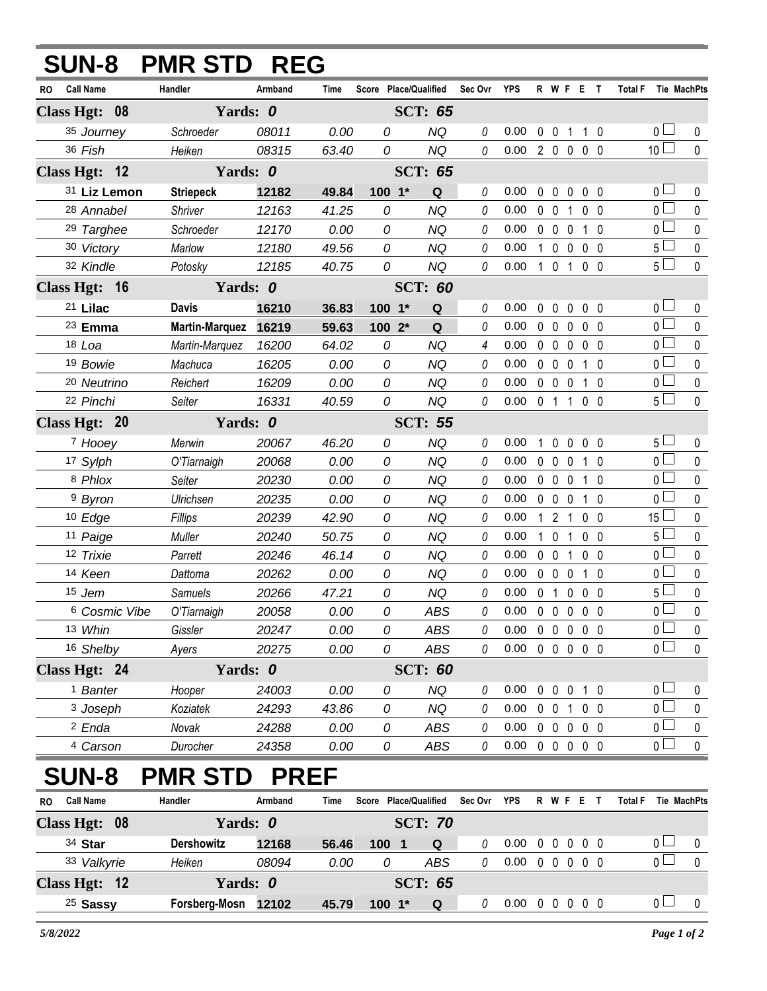| <b>SUN-8</b>                               | <b>PMR STD REG</b>    |                |                |                       |                  |         |                            |    |                     |                |                     |                |                                  |                  |
|--------------------------------------------|-----------------------|----------------|----------------|-----------------------|------------------|---------|----------------------------|----|---------------------|----------------|---------------------|----------------|----------------------------------|------------------|
| <b>Call Name</b><br>RO                     | Handler               | Armband        | <b>Time</b>    | Score Place/Qualified |                  | Sec Ovr | <b>YPS</b>                 |    |                     |                | R W F E T           | <b>Total F</b> |                                  | Tie MachPts      |
| Class Hgt: 08                              | Yards: 0              |                |                |                       | <b>SCT: 65</b>   |         |                            |    |                     |                |                     |                |                                  |                  |
| 35 Journey                                 | Schroeder             | 08011          | 0.00           | 0                     | <b>NQ</b>        | 0       | 0.00                       |    |                     |                | 0 0 1 1 0           |                | $0-$                             | 0                |
| 36 Fish                                    | Heiken                | 08315          | 63.40          | 0                     | NQ               | 0       | 0.00 2 0 0 0 0             |    |                     |                |                     |                | 10 <sup>1</sup>                  | $\mathbf 0$      |
| Class Hgt: 12                              | Yards: 0              |                |                |                       | <b>SCT: 65</b>   |         |                            |    |                     |                |                     |                |                                  |                  |
| 31 Liz Lemon                               | <b>Striepeck</b>      | 12182          | 49.84          | $100 - 1*$            | Q                | 0       | 0.00                       |    | $0\quad 0$          | $\mathbf 0$    | $0\quad 0$          |                | 0 l                              | 0                |
| 28 Annabel                                 | Shriver               | 12163          | 41.25          | 0                     | <b>NQ</b>        | 0       | 0.00                       |    | $0 \t0 \t1$         |                | 0 <sub>0</sub>      |                | 0 <sup>1</sup>                   | $\pmb{0}$        |
| <sup>29</sup> Targhee                      | Schroeder             | 12170          | 0.00           | 0                     | <b>NQ</b>        | 0       | 0.00                       |    | $0\quad 0\quad 0$   |                | $1\quad0$           |                | 0                                | $\mathbf 0$      |
| 30 Victory                                 | Marlow                | 12180          | 49.56          | 0                     | <b>NQ</b>        | 0       | 0.00                       |    | $100$               |                | $0\quad 0$          |                | 5 <sub>1</sub>                   | $\pmb{0}$        |
| 32 Kindle                                  | Potosky               | 12185          | 40.75          | 0                     | <b>NQ</b>        | 0       | 0.00                       |    | $1 \quad 0 \quad 1$ |                | 0 <sub>0</sub>      |                | 5 <sup>1</sup>                   | $\mathbf 0$      |
| Class Hgt: 16                              | Yards: 0              |                | <b>SCT: 60</b> |                       |                  |         |                            |    |                     |                |                     |                |                                  |                  |
| 21 Lilac                                   | <b>Davis</b>          | 16210          | 36.83          | $100 - 1*$            | Q                | 0       | 0.00                       |    | $0\quad 0$          | $\mathbf 0$    | 0 <sub>0</sub>      |                | $0-$                             | 0                |
| <sup>23</sup> Emma                         | <b>Martin-Marquez</b> | 16219          | 59.63          | 100 2*                | Q                | 0       | 0.00                       |    | $0\quad 0$          | $\mathbf 0$    | $0\quad 0$          |                | 0 <sup>1</sup>                   | 0                |
| $18$ Loa                                   | Martin-Marquez        | 16200          | 64.02          | 0                     | <b>NQ</b>        | 4       | 0.00                       |    | $0\quad 0\quad 0$   |                | 0 <sub>0</sub>      |                | 0 <sup>1</sup>                   | $\mathbf 0$      |
| 19 Bowie                                   | Machuca               | 16205          | 0.00           | 0                     | <b>NQ</b>        | 0       | 0.00                       |    | $0\quad 0\quad 0$   |                | $1\quad0$           |                | 0 L                              | 0                |
| 20 Neutrino                                | Reichert              | 16209          | 0.00           | 0                     | <b>NQ</b>        | 0       | 0.00                       |    | $0\quad 0\quad 0$   |                | $1\quad0$           |                | 0 <sub>0</sub>                   | $\pmb{0}$        |
| 22 Pinchi                                  | Seiter                | 16331          | 40.59          | 0                     | <b>NQ</b>        | 0       | 0.00                       |    | $0 \t1 \t1$         |                | 0 <sub>0</sub>      |                | 5 <sup>1</sup>                   | $\mathbf 0$      |
| Class Hgt: 20                              | Yards: 0              |                |                |                       | <b>SCT: 55</b>   |         |                            |    |                     |                |                     |                |                                  |                  |
| 7 Hooey                                    | Merwin                | 20067          | 46.20          | 0                     | <b>NQ</b>        | 0       | 0.00                       | 1. | $0\quad 0$          |                | $0\quad 0$          |                | $5 -$                            | 0                |
| 17 Sylph                                   | O'Tiarnaigh           | 20068          | 0.00           | 0                     | <b>NQ</b>        | 0       | 0.00                       |    | $0\quad 0$          | $\mathbf 0$    | 10                  |                | 0 <sub>0</sub>                   | 0                |
| 8 Phlox                                    | Seiter                | 20230          | 0.00           | 0                     | <b>NQ</b>        | 0       | 0.00                       |    | $0\quad 0\quad 0$   |                | $1\quad$ $\Omega$   |                | 0 <sup>1</sup>                   | $\pmb{0}$        |
| <sup>9</sup> Byron                         | Ulrichsen             | 20235          | 0.00           | 0                     | <b>NQ</b>        | 0       | 0.00                       |    | $0\quad 0\quad 0$   |                | $1\quad0$           |                | 0 L                              | 0                |
| 10 Edge                                    | Fillips               | 20239          | 42.90          | 0                     | <b>NQ</b>        | 0       | 0.00                       |    | $1 \quad 2 \quad 1$ |                | $0\quad 0$          |                | $15\perp$                        | $\mathbf 0$      |
| 11 Paige                                   | Muller                | 20240          | 50.75          | 0                     | <b>NQ</b>        | 0       | 0.00                       |    | $1\quad 0$          | -1             | $0\quad 0$          |                | 5 <sup>1</sup>                   | 0                |
| 12 Trixie                                  | Parrett               | 20246          | 46.14          | 0                     | <b>NQ</b>        | 0       | 0.00                       |    | $0\quad 0$          | $\overline{1}$ | 0 <sub>0</sub>      |                | 0                                | $\mathbf 0$      |
| 14 Keen                                    | Dattoma               | 20262          | 0.00           | 0                     | <b>NQ</b>        | 0       | 0.00                       |    | $0\quad 0\quad 0$   |                | $1\quad0$           |                | 0 l                              | 0                |
| 15 Jem                                     | <b>Samuels</b>        | 20266          | 47.21          | 0                     | <b>NQ</b>        | 0       | 0.00                       |    | 0 <sub>1</sub>      | $\mathbf 0$    | $0\quad 0$          |                | 5 <sup>L</sup>                   | $\pmb{0}$        |
| 6 Cosmic Vibe                              | O'Tiarnaigh           | 20058          | 0.00           | 0                     | <b>ABS</b>       | 0       | $0.00 \t0 \t0 \t0 \t0 \t0$ |    |                     |                |                     |                | $\mathbf 0$<br>0 <sub>1</sub>    | 0<br>$\mathbf 0$ |
| 13 Whin<br>16 Shelby                       | Gissler               | 20247<br>20275 | 0.00<br>0.00   | 0<br>0                | ABS<br>ABS       | 0<br>0  | 0.00<br>0.00               |    |                     |                | 00000<br>00000      |                | $\overline{0}$                   | 0                |
|                                            | Ayers                 |                |                |                       |                  |         |                            |    |                     |                |                     |                |                                  |                  |
| Class Hgt: 24                              | Yards: 0              |                |                |                       | <b>SCT: 60</b>   |         |                            |    |                     |                |                     |                |                                  |                  |
| <sup>1</sup> Banter<br><sup>3</sup> Joseph | Hooper                | 24003          | 0.00           | 0                     | <b>NQ</b>        | 0       | 0.00                       |    |                     |                | 0 0 0 1 0           |                | 0 <sub>1</sub><br>0 <sub>0</sub> | 0                |
| <sup>2</sup> Enda                          | Koziatek<br>Novak     | 24293<br>24288 | 43.86<br>0.00  | 0<br>0                | <b>NQ</b><br>ABS | 0<br>0  | 0.00<br>0.00               |    | 0 0 1               |                | $0\quad 0$<br>00000 |                | 0 <sub>1</sub>                   | 0<br>$\pmb{0}$   |
| 4 Carson                                   | Durocher              | 24358          | 0.00           | 0                     | ABS              | 0       | $0.00 \t0 \t0 \t0 \t0 \t0$ |    |                     |                |                     |                | 0 <sub>1</sub>                   | 0                |
|                                            |                       |                |                |                       |                  |         |                            |    |                     |                |                     |                |                                  |                  |
| <b>SUN-8</b>                               | <b>PMR STD</b>        | <b>PREF</b>    |                |                       |                  |         |                            |    |                     |                |                     |                |                                  |                  |
| <b>Call Name</b><br><b>RO</b>              | Handler               | Armband        | Time           | Score Place/Qualified |                  | Sec Ovr | YPS                        |    |                     |                | R W F E T           | <b>Total F</b> |                                  | Tie MachPts      |
| Class Hgt: 08                              | Yards: 0              |                |                |                       | <b>SCT: 70</b>   |         |                            |    |                     |                |                     |                |                                  |                  |
| 34 Star                                    | <b>Dershowitz</b>     | 12168          | 56.46          | 100 1                 | Q                | 0       | 0.00                       |    |                     |                | 00000               |                | 0 <sub>1</sub><br>0 <sub>1</sub> | $\mathbf 0$      |
| 33 Valkyrie                                | Heiken                | 08094          | 0.00           | 0                     | ABS              | 0       | $0.00 \t0 \t0 \t0 \t0 \t0$ |    |                     |                |                     |                |                                  | $\mathbf 0$      |
| Class Hgt: 12                              | Yards: 0              |                |                |                       | <b>SCT: 65</b>   |         |                            |    |                     |                |                     |                |                                  |                  |
| <sup>25</sup> Sassy                        | Forsberg-Mosn 12102   |                | 45.79          | 100 1*                | Q                | 0       | $0.00 \t0 \t0 \t0 \t0 \t0$ |    |                     |                |                     |                | 0 <sub>1</sub>                   | $\mathbf 0$      |